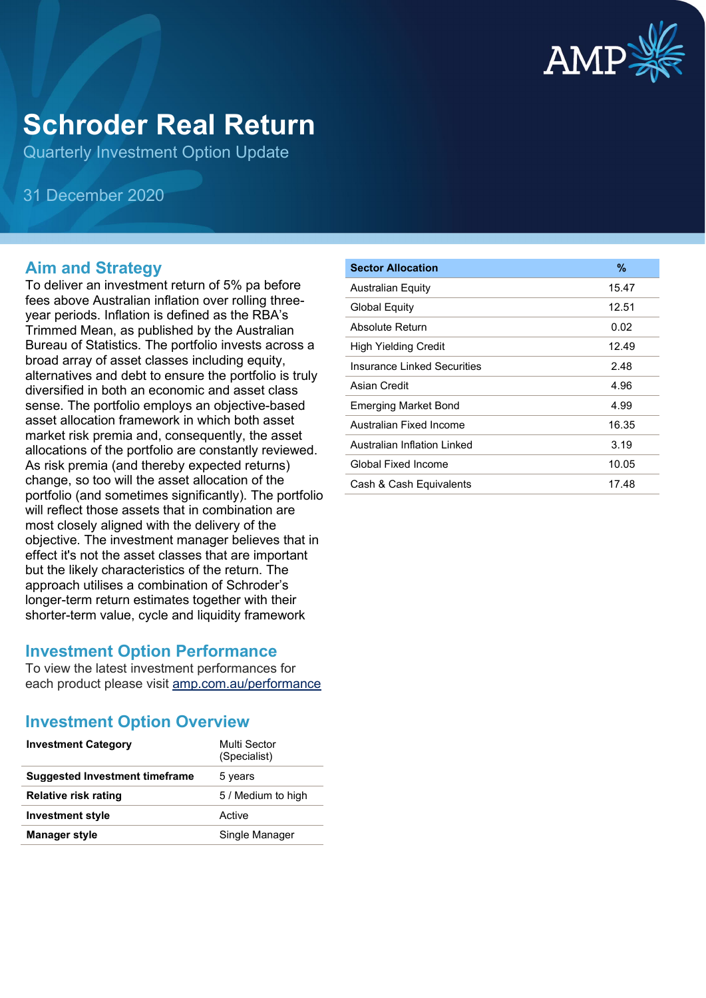

# **Schroder Real Return**

Quarterly Investment Option Update

31 December 2020

### **Aim and Strategy**

To deliver an investment return of 5% pa before fees above Australian inflation over rolling threeyear periods. Inflation is defined as the RBA's Trimmed Mean, as published by the Australian Bureau of Statistics. The portfolio invests across a broad array of asset classes including equity, alternatives and debt to ensure the portfolio is truly diversified in both an economic and asset class sense. The portfolio employs an objective-based asset allocation framework in which both asset market risk premia and, consequently, the asset allocations of the portfolio are constantly reviewed. As risk premia (and thereby expected returns) change, so too will the asset allocation of the portfolio (and sometimes significantly). The portfolio will reflect those assets that in combination are most closely aligned with the delivery of the objective. The investment manager believes that in effect it's not the asset classes that are important but the likely characteristics of the return. The approach utilises a combination of Schroder's longer-term return estimates together with their shorter-term value, cycle and liquidity framework

#### **Investment Option Performance**

To view the latest investment performances for each product please visit [amp.com.au/performance](https://www.amp.com.au/performance)

### **Investment Option Overview**

| <b>Investment Category</b>            | Multi Sector<br>(Specialist) |
|---------------------------------------|------------------------------|
| <b>Suggested Investment timeframe</b> | 5 years                      |
| <b>Relative risk rating</b>           | 5 / Medium to high           |
| <b>Investment style</b>               | Active                       |
| <b>Manager style</b>                  | Single Manager               |

| <b>Sector Allocation</b>    | $\%$  |
|-----------------------------|-------|
| <b>Australian Equity</b>    | 15.47 |
| Global Equity               | 12.51 |
| Absolute Return             | 0.02  |
| High Yielding Credit        | 12.49 |
| Insurance Linked Securities | 2.48  |
| Asian Credit                | 4.96  |
| <b>Emerging Market Bond</b> | 4.99  |
| Australian Fixed Income     | 16.35 |
| Australian Inflation Linked | 3.19  |
| Global Fixed Income         | 10.05 |
| Cash & Cash Equivalents     | 17.48 |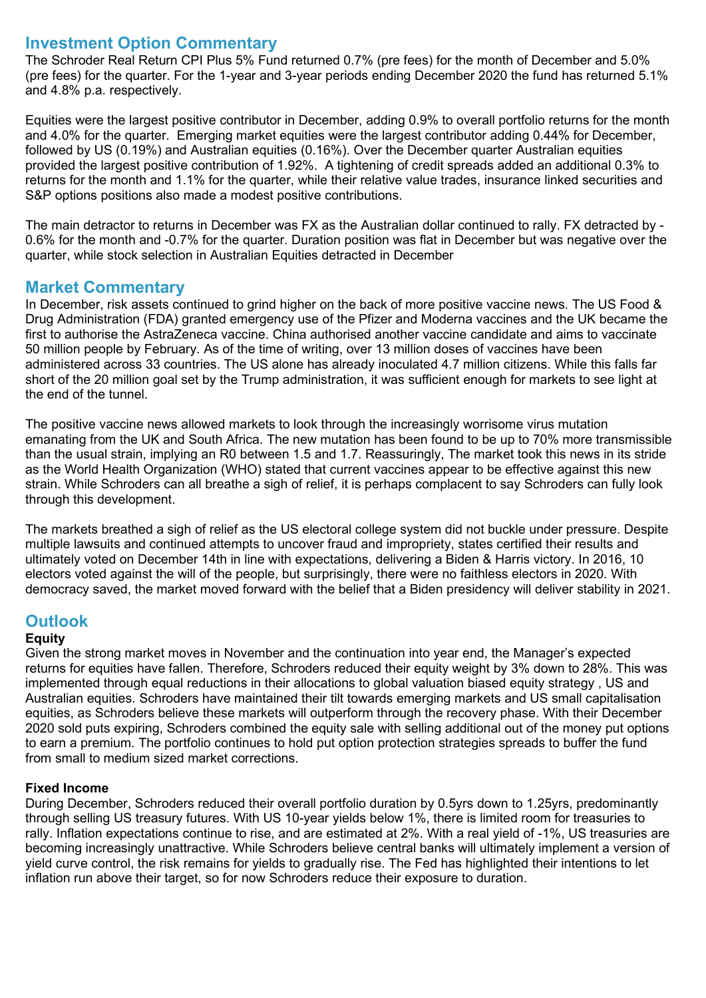#### **Investment Option Commentary**

The Schroder Real Return CPI Plus 5% Fund returned 0.7% (pre fees) for the month of December and 5.0% (pre fees) for the quarter. For the 1-year and 3-year periods ending December 2020 the fund has returned 5.1% and 4.8% p.a. respectively.

Equities were the largest positive contributor in December, adding 0.9% to overall portfolio returns for the month and 4.0% for the quarter. Emerging market equities were the largest contributor adding 0.44% for December, followed by US (0.19%) and Australian equities (0.16%). Over the December quarter Australian equities provided the largest positive contribution of 1.92%. A tightening of credit spreads added an additional 0.3% to returns for the month and 1.1% for the quarter, while their relative value trades, insurance linked securities and S&P options positions also made a modest positive contributions.

The main detractor to returns in December was FX as the Australian dollar continued to rally. FX detracted by - 0.6% for the month and -0.7% for the quarter. Duration position was flat in December but was negative over the quarter, while stock selection in Australian Equities detracted in December

#### **Market Commentary**

In December, risk assets continued to grind higher on the back of more positive vaccine news. The US Food & Drug Administration (FDA) granted emergency use of the Pfizer and Moderna vaccines and the UK became the first to authorise the AstraZeneca vaccine. China authorised another vaccine candidate and aims to vaccinate 50 million people by February. As of the time of writing, over 13 million doses of vaccines have been administered across 33 countries. The US alone has already inoculated 4.7 million citizens. While this falls far short of the 20 million goal set by the Trump administration, it was sufficient enough for markets to see light at the end of the tunnel.

The positive vaccine news allowed markets to look through the increasingly worrisome virus mutation emanating from the UK and South Africa. The new mutation has been found to be up to 70% more transmissible than the usual strain, implying an R0 between 1.5 and 1.7. Reassuringly, The market took this news in its stride as the World Health Organization (WHO) stated that current vaccines appear to be effective against this new strain. While Schroders can all breathe a sigh of relief, it is perhaps complacent to say Schroders can fully look through this development.

The markets breathed a sigh of relief as the US electoral college system did not buckle under pressure. Despite multiple lawsuits and continued attempts to uncover fraud and impropriety, states certified their results and ultimately voted on December 14th in line with expectations, delivering a Biden & Harris victory. In 2016, 10 electors voted against the will of the people, but surprisingly, there were no faithless electors in 2020. With democracy saved, the market moved forward with the belief that a Biden presidency will deliver stability in 2021.

### **Outlook**

#### **Equity**

Given the strong market moves in November and the continuation into year end, the Manager's expected returns for equities have fallen. Therefore, Schroders reduced their equity weight by 3% down to 28%. This was implemented through equal reductions in their allocations to global valuation biased equity strategy , US and Australian equities. Schroders have maintained their tilt towards emerging markets and US small capitalisation equities, as Schroders believe these markets will outperform through the recovery phase. With their December 2020 sold puts expiring, Schroders combined the equity sale with selling additional out of the money put options to earn a premium. The portfolio continues to hold put option protection strategies spreads to buffer the fund from small to medium sized market corrections.

#### **Fixed Income**

During December, Schroders reduced their overall portfolio duration by 0.5yrs down to 1.25yrs, predominantly through selling US treasury futures. With US 10-year yields below 1%, there is limited room for treasuries to rally. Inflation expectations continue to rise, and are estimated at 2%. With a real yield of -1%, US treasuries are becoming increasingly unattractive. While Schroders believe central banks will ultimately implement a version of yield curve control, the risk remains for yields to gradually rise. The Fed has highlighted their intentions to let inflation run above their target, so for now Schroders reduce their exposure to duration.